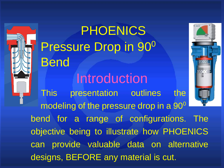

**PHOENICS** Pressure Drop in 90<sup>0</sup> Bend **Introduction** This presentation outlines the modeling of the pressure drop in a 90<sup>0</sup> bend for a range of configurations. The objective being to illustrate how PHOENICS can provide valuable data on alternative designs, BEFORE any material is cut.

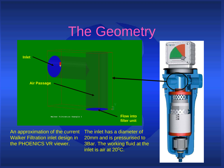### The Geometry



An approximation of the current Walker Filtration inlet design in the PHOENICS VR viewer.

The inlet has a diameter of 20mm and is pressurised to 3Bar. The working fluid at the inlet is air at 20<sup>o</sup>C.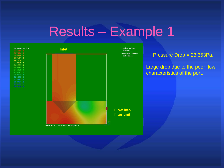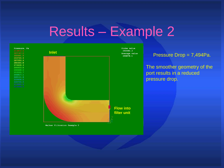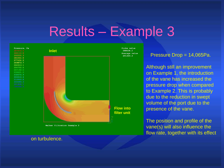

Walker Filtration Example 3

on turbulence.

288028.2 Average value 291349.3

#### Pressure Drop = 14,065Pa.

Although still an improvement on Example 1, the introduction of the vane has increased the pressure drop when compared to Example 2. This is probably due to the reduction in swept volume of the port due to the presence of the vane.

The position and profile of the vane(s) will also influence the flow rate, together with its effect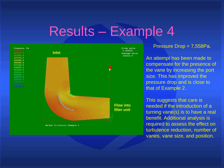

Pressure Drop = 7,558Pa.

An attempt has been made to compensate for the presence of the vane by increasing the port size. This has improved the pressure drop and is close to that of Example 2.

This suggests that care is needed if the introduction of a turning vane(s) is to have a real benefit. Additional analysis is required to assess the effect on turbulence reduction, number of vanes, vane size, and position.